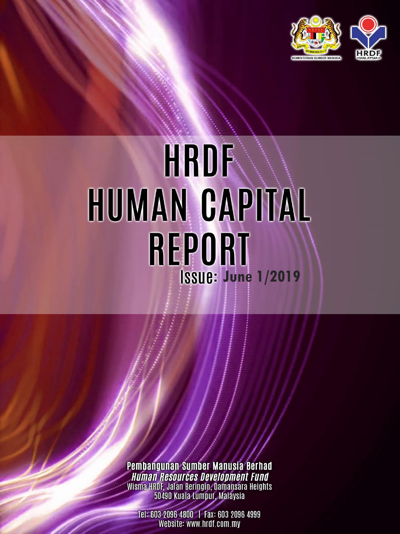

# **HRDF** HUMAN CAPITAL **REPORT June 1/2019**

Pembangunan Sumber Manusia Berhad<br>Muman Resources Development Fund Wisma HRDF, Jalan Beringin, Damansara Heights<br>50490 Kuala Lumpur, Malaysia

Tel: 603 2096 4800 | Fax: 603 2096 4999 Website: www.hrdf.com.my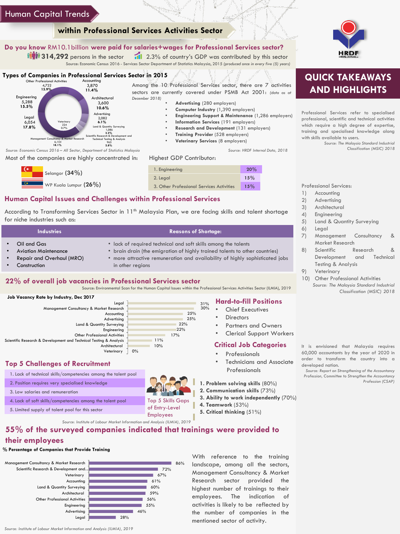### Human Capital Trends

### **within Professional Services Activities Sector**

### **Do you know** RM10.1billion **were paid for salaries+wages for Professional Services sector?**

**1171 314,292** persons in the sector 11 2.3% of country's GDP was contributed by this sector Source: Economic Census 2016 - Services Sector Department of Statistics Malaysia, 2015 *(produced once in every five (5) years)*

### **Types of Companies in Professional Services Sector in 2015**



Most of the companies are highly concentrated in:





• **Advertising** (280 employers) • **Computer Industry** (1,390 employers)

• **Information Services** (191 employers) • **Research and Development** (131 employers) • **Training Provider** (528 employers) • **Veterinary Services** (8 employers)

• **Engineering Support & Maintenance** (1,286 employers)

*Source: HRDF Internal Data, 2018*

### **Human Capital Issues and Challenges within Professional Services**

According to Transforming Services Sector in 11<sup>th</sup> Malaysia Plan, we are facing skills and talent shortage for niche industries such as:

| <b>Industries</b>                                                                              | <b>Reasons of Shortage:</b>                                                                                                                                                                                                                     |
|------------------------------------------------------------------------------------------------|-------------------------------------------------------------------------------------------------------------------------------------------------------------------------------------------------------------------------------------------------|
| Oil and Gas<br><b>Aviation Maintenance</b><br><b>Repair and Overhaul (MRO)</b><br>Construction | • lack of required technical and soft skills among the talents<br>• brain drain (the emigration of highly trained talents to other countries)<br>more attractive remuneration and availability of highly sophisticated jobs<br>in other regions |
| $\frac{1}{2}$<br>.                                                                             | .                                                                                                                                                                                                                                               |

### **22% of overall job vacancies in Professional Services sector**

Source: Environmental Scan for the Human Capital Issues within the Professional Services Activities Sector (ILMIA), 2019



| Legal                                                              |    |     | 31% |
|--------------------------------------------------------------------|----|-----|-----|
| Management Consultancy & Market Research                           |    |     | 30% |
| Accounting                                                         |    | 25% |     |
| Advertising                                                        |    | 25% |     |
| Land & Quantity Surveying                                          |    | 22% |     |
| Engineering                                                        |    | 22% |     |
| <b>Other Professional Activities</b>                               |    | 17% |     |
| Scientific Research & Development and Technical Testing & Analysis |    | 11% |     |
| Architectural                                                      |    | 10% |     |
| Veterinary                                                         | 0% |     |     |

### **Top 5 Challenges of Recruitment**



### • Chief Executives

- 
- 

### **Critical Job Categories**

- **Professionals**
- Technicians and Associate Professionals
- **1. Problem solving skills** (80%)
- **2. Communication skills** (73%)
- **3. Ability to work independently** (70%)
- **4. Teamwork** (53%)
- 



## **QUICK TAKEAWAYS AND HIGHLIGHTS**

Professional Services refer to specialised professional, scientific and technical activities which require a high degree of expertise, training and specialised knowledge along with skills available to users.

*Source: The Malaysia Standard Industrial Classification (MSIC) 2018*

Professional Services:

- 1) Accounting
- 2) Advertising
- 3) Architectural
- 4) Engineering
- 5) Land & Quantity Surveying
	- 6) Legal
	- 7) Management Consultancy & Market Research
	- 8) Scientific Research & Development and Technical Testing & Analysis
	- 9) Veterinary
	- 10) Other Professional Activities *Source: The Malaysia Standard Industrial Classification (MSIC) 2018*

60,000 accountants by the year of 2020 in order to transform the country into a

*Profession, Committee to Strengthen the Accountancy Profession (CSAP)*

**55% of the surveyed companies indicated that trainings were provided to their employees**

### **% Percentage of Companies that Provide Training**



With reference to the training landscape, among all the sectors, Management Consultancy & Market Research sector provided the highest number of trainings to their employees. The indication of activities is likely to be reflected by the number of companies in the mentioned sector of activity.

- Partners and Owners
- 

Legal

**Directors Hard-to-fill Positions**

- - Clerical Support Workers

- -

**5. Critical thinking** (51%)

It is envisioned that Malaysia requires developed nation.

*Source: Report on Strengthening of the Accountancy*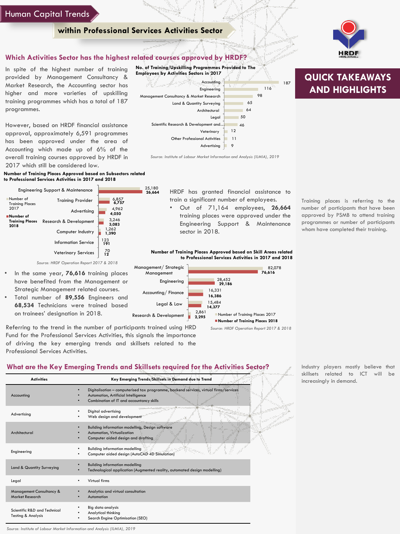### Human Capital Trends

### **within Professional Services Activities Sector**

25,180 **26,664** 

### **Which Activities Sector has the highest related courses approved by HRDF?**

In spite of the highest number of training provided by Management Consultancy & Market Research, the Accounting sector has higher and more varieties of upskilling training programmes which has a total of 187 programmes.

However, based on HRDF financial assistance approval, approximately 6,591 programmes has been approved under the area of Accounting which made up of 6% of the overall training courses approved by HRDF in 2017 which still be considered low.

**Number of Training Places Approved based on Subsectors related to Professional Services Activities in 2017 and 2018**



*Source: HRDF Operation Report 2017 & 2018*

- In the same year, **76,616** training places have benefited from the Management or Strategic Management related courses.
- Total number of **89,556** Engineers and **68,534** Technicians were trained based on trainees' designation in 2018.

Referring to the trend in the number of participants trained using HRD Fund for the Professional Services Activities, this signals the importance of driving the key emerging trends and skillsets related to the Professional Services Activities.

### **What are the Key Emerging Trends and Skillsets required for the Activities Sector?**

| <b>Activities</b>                                             | Key Emerging Trends/Skillsets in Demand due to Trend                                                                                                                          |
|---------------------------------------------------------------|-------------------------------------------------------------------------------------------------------------------------------------------------------------------------------|
| Accounting                                                    | Digitalisation - computerised tax programme, backend services, virtual firms/services<br>٠<br>Automation, Artificial Intelligence<br>Combination of IT and accountancy skills |
| Advertising                                                   | Digital advertising<br>Web design and development                                                                                                                             |
| Architectural                                                 | Building information modelling, Design software<br>Automation, Virtualization<br>Computer aided design and drafting                                                           |
| Engineering                                                   | <b>Building information modelling</b><br>Computer aided design (AutoCAD 4D Simulation)                                                                                        |
| Land & Quantity Surveying                                     | <b>Building information modelling</b><br>Technological application (Augmented reality, automated design modelling)                                                            |
| Legal                                                         | Virtual firms<br>٠                                                                                                                                                            |
| <b>Management Consultancy &amp;</b><br>Market Research        | Analytics and virtual consultation<br>Automation                                                                                                                              |
| Scientific R&D and Technical<br><b>Testing &amp; Analysis</b> | Big data analysis<br>Analytical thinking<br>Search Engine Optimisation (SEO)                                                                                                  |

Industry players mostly believe that skillsets related to ICT will be increasingly in demand.

HRDF has granted financial assistance to train a significant number of employees.

• Out of 71,164 employees, **26,664** training places were approved under the Engineering Support & Maintenance sector in 2018.

**Number of Training Places Approved based on Skill Areas related to Professional Services Activities in 2017 and 2018**



*Source: HRDF Operation Report 2017 & 2018*

**QUICK TAKEAWAYS AND HIGHLIGHTS**

187

Training places is referring to the number of participants that have been approved by PSMB to attend training programmes or number of participants whom have completed their training.





*Source: Institute of Labour Market Information and Analysis (ILMIA), 2019*

*Source: Institute of Labour Market Information and Analysis (ILMIA), 2019*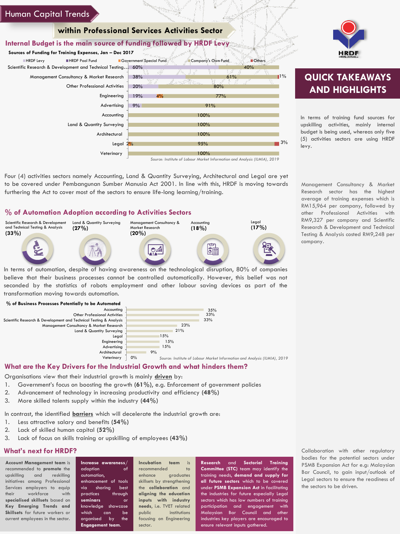### Human Capital Trends

### **within Professional Services Activities Sector**

### **Internal Budget is the main source of funding followed by HRDF Levy**

Scientific Research & Development and Technical Testing... 60% 38% 20% 19% 9%  $4\%$ Legal 2<mark>%</mark> 100% 100% 100% 95% 100% Management Consultancy & Market Research Other Professional Activities Engineering Advertising Accounting Land & Quantity Surveying Architectural Veterinary **Sources of Funding for Training Expenses, Jan – Dec 2017** ■HRDF Levy **HRDF Pool Fund Government Special Fund Company's Own Fund Company** *Source: Institute of Labour Market Information and Analysis (ILMIA), 2019*

Four (4) activities sectors namely Accounting, Land & Quantity Surveying, Architectural and Legal are yet to be covered under Pembangunan Sumber Manusia Act 2001. In line with this, HRDF is moving towards furthering the Act to cover most of the sectors to ensure life-long learning/training.

### **% of Automation Adoption according to Activities Sectors**



In terms of automation, despite of having awareness on the technological disruption, 80% of companies believe that their business processes cannot be controlled automatically. However, this belief was not seconded by the statistics of robots employment and other labour saving devices as part of the transformation moving towards automation.



### **What are the Key Drivers for the Industrial Growth and what hinders them?**

Organisations view that their industrial growth is mainly **driven** by:

- 1. Government's focus on boosting the growth **(61%)**, e.g. Enforcement of government policies
- 2. Advancement of technology in increasing productivity and efficiency **(48%)**
- 3. More skilled talents supply within the industry **(44%)**

In contrast, the identified **barriers** which will decelerate the industrial growth are:

- 1. Less attractive salary and benefits **(54%)**
- 2. Lack of skilled human capital **(52%)**
- 3. Lack of focus on skills training or upskilling of employees **(43%)**

### **What's next for HRDF?**

**Account Management team** is recommended to **promote** the upskilling and reskilling initiatives among Professional Services employers to equip their workforce with **specialised skillsets** based on **Key Emerging Trends and Skillsets** for future workers or current employees in the sector.

**Increase awareness**/ adoption of automation, enhancement of tools via sharing best practices through **seminars** or knowledge showcase which can be organised by the **Engagement team**.

**Incubation team** is recommended to enhance graduates skillsets by strengthening the **collaboration** and **aligning the education inputs with industry needs**, i.e. TVET related public institutions focusing on Engineering sector.

**Research** and **Sectorial Training Committee (STC)** team may identify the training needs, **demand and supply for all future sectors** which to be covered under **PSMB Expansion Act** in facilitating the industries for future especially Legal sectors which has low numbers of training participation and engagement with Malaysian Bar Council and other industries key players are encouraged to ensure relevant inputs gathered.

 $40%$ 

 $1\%$ 

3%

61%

 $90<sub>4</sub>$ 77% 91%



# **QUICK TAKEAWAYS AND HIGHLIGHTS**

In terms of training fund sources for upskilling activities, mainly internal budget is being used, whereas only five (5) activities sectors are using HRDF levy.

Management Consultancy & Market Research sector has the highest average of training expenses which is RM15,964 per company, followed by other Professional Activities with RM9,327 per company and Scientific Research & Development and Technical Testing & Analysis costed RM9,248 per company.